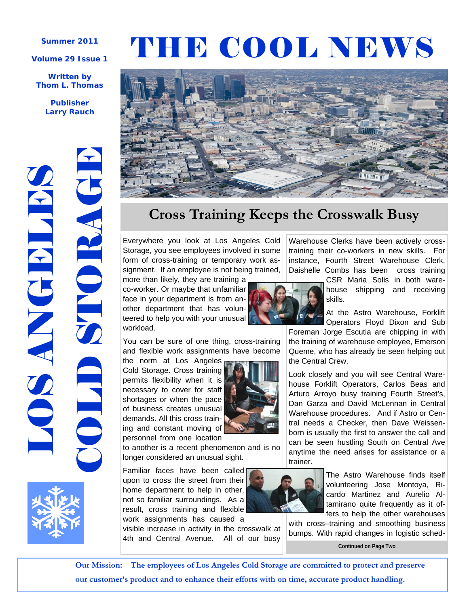### **Summer 2011**

### **Volume 29 Issue 1**

### **Written by Thom L. Thomas**

**Publisher Larry Rauch** 



# THE COOL NEWS



# **Cross Training Keeps the Crosswalk Busy**

Everywhere you look at Los Angeles Cold Storage, you see employees involved in some form of cross-training or temporary work assignment. If an employee is not being trained,

more than likely, they are training a co-worker. Or maybe that unfamiliar face in your department is from another department that has volunteered to help you with your unusual workload.

You can be sure of one thing, cross-training and flexible work assignments have become

the norm at Los Angeles Cold Storage. Cross training permits flexibility when it is necessary to cover for staff shortages or when the pace of business creates unusual demands. All this cross training and constant moving of personnel from one location

to another is a recent phenomenon and is no longer considered an unusual sight.

Familiar faces have been called upon to cross the street from their home department to help in other, not so familiar surroundings. As a result, cross training and flexible work assignments has caused a

visible increase in activity in the crosswalk at 4th and Central Avenue. All of our busy



Warehouse Clerks have been actively crosstraining their co-workers in new skills. For instance, Fourth Street Warehouse Clerk, Daishelle Combs has been cross training

CSR Maria Solis in both warehouse shipping and receiving skills.

Operators Floyd Dixon and Sub

Foreman Jorge Escutia are chipping in with the training of warehouse employee, Emerson Queme, who has already be seen helping out the Central Crew.

Look closely and you will see Central Warehouse Forklift Operators, Carlos Beas and Arturo Arroyo busy training Fourth Street's, Dan Garza and David McLennan in Central Warehouse procedures. And if Astro or Central needs a Checker, then Dave Weissenborn is usually the first to answer the call and can be seen hustling South on Central Ave anytime the need arises for assistance or a trainer.



The Astro Warehouse finds itself volunteering Jose Montoya, Ricardo Martinez and Aurelio Altamirano quite frequently as it offers to help the other warehouses

with cross–training and smoothing business bumps. With rapid changes in logistic sched-

**Continued on Page Two** 

 **Our Mission: The employees of Los Angeles Cold Storage are committed to protect and preserve our customer's product and to enhance their efforts with on time, accurate product handling.** 

At the Astro Warehouse, Forklift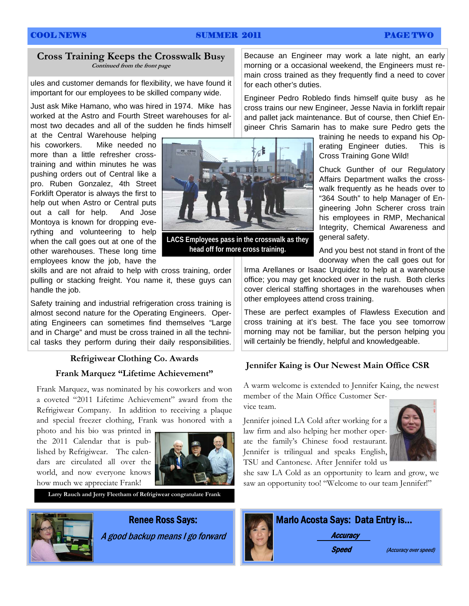# COOL NEWS SUMMER 2011 PAGE TWO

# **Cross Training Keeps the Crosswalk Busy Continued from the front page**

ules and customer demands for flexibility, we have found it important for our employees to be skilled company wide.

Just ask Mike Hamano, who was hired in 1974. Mike has worked at the Astro and Fourth Street warehouses for almost two decades and all of the sudden he finds himself

at the Central Warehouse helping his coworkers. Mike needed no more than a little refresher crosstraining and within minutes he was pushing orders out of Central like a pro. Ruben Gonzalez, 4th Street Forklift Operator is always the first to help out when Astro or Central puts out a call for help. And Jose Montoya is known for dropping everything and volunteering to help when the call goes out at one of the other warehouses. These long time employees know the job, have the

skills and are not afraid to help with cross training, order pulling or stacking freight. You name it, these guys can handle the job.

Safety training and industrial refrigeration cross training is almost second nature for the Operating Engineers. Operating Engineers can sometimes find themselves "Large and in Charge" and must be cross trained in all the technical tasks they perform during their daily responsibilities.

### **Frank Marquez "Lifetime Achievement"**

Frank Marquez, was nominated by his coworkers and won a coveted "2011 Lifetime Achievement" award from the Refrigiwear Company. In addition to receiving a plaque and special freezer clothing, Frank was honored with a

photo and his bio was printed in the 2011 Calendar that is published by Refrigiwear. The calendars are circulated all over the world, and now everyone knows how much we appreciate Frank!



**Larry Rauch and Jerry Fleetham of Refrigiwear congratulate Frank** 



# Renee Ross Says:

A good backup means I go forward



**LACS Employees pass in the crosswalk as they head off for more cross training.** 

Because an Engineer may work a late night, an early morning or a occasional weekend, the Engineers must remain cross trained as they frequently find a need to cover for each other's duties.

Engineer Pedro Robledo finds himself quite busy as he cross trains our new Engineer, Jesse Navia in forklift repair and pallet jack maintenance. But of course, then Chief Engineer Chris Samarin has to make sure Pedro gets the

> training he needs to expand his Operating Engineer duties. This is Cross Training Gone Wild!

> Chuck Gunther of our Regulatory Affairs Department walks the crosswalk frequently as he heads over to "364 South" to help Manager of Engineering John Scherer cross train his employees in RMP, Mechanical Integrity, Chemical Awareness and general safety.

> And you best not stand in front of the doorway when the call goes out for

Irma Arellanes or Isaac Urquidez to help at a warehouse office; you may get knocked over in the rush. Both clerks cover clerical staffing shortages in the warehouses when other employees attend cross training.

These are perfect examples of Flawless Execution and cross training at it's best. The face you see tomorrow morning may not be familiar, but the person helping you will certainly be friendly, helpful and knowledgeable.

# **Refrigiwear Clothing Co. Awards**<br>Jennifer Kaing is Our Newest Main Office CSR

A warm welcome is extended to Jennifer Kaing, the newest member of the Main Office Customer Ser-

vice team.

Jennifer joined LA Cold after working for a law firm and also helping her mother operate the family's Chinese food restaurant. Jennifer is trilingual and speaks English, TSU and Cantonese. After Jennifer told us



she saw LA Cold as an opportunity to learn and grow, we saw an opportunity too! "Welcome to our team Jennifer!"

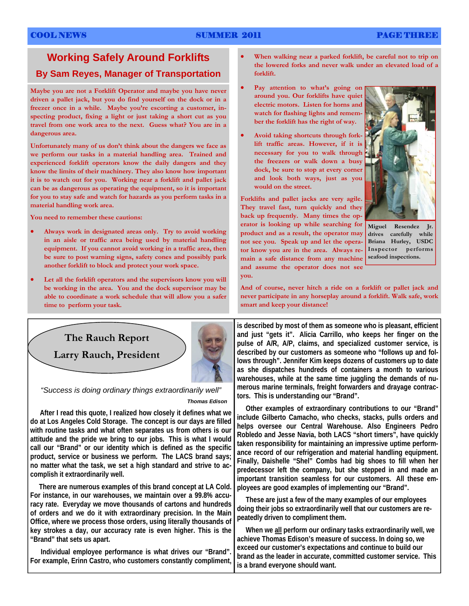# COOL NEWS SUMMER 2011 PAGE THREE

# **Working Safely Around Forklifts**

# **By Sam Reyes, Manager of Transportation**

**Maybe you are not a Forklift Operator and maybe you have never driven a pallet jack, but you do find yourself on the dock or in a freezer once in a while. Maybe you're escorting a customer, inspecting product, fixing a light or just taking a short cut as you travel from one work area to the next. Guess what? You are in a dangerous area.** 

**Unfortunately many of us don't think about the dangers we face as we perform our tasks in a material handling area. Trained and experienced forklift operators know the daily dangers and they know the limits of their machinery. They also know how important it is to watch out for you. Working near a forklift and pallet jack can be as dangerous as operating the equipment, so it is important for you to stay safe and watch for hazards as you perform tasks in a material handling work area.** 

**You need to remember these cautions:** 

- **Always work in designated areas only. Try to avoid working in an aisle or traffic area being used by material handling equipment. If you cannot avoid working in a traffic area, then be sure to post warning signs, safety cones and possibly park another forklift to block and protect your work space.**
- **Let all the forklift operators and the supervisors know you will be working in the area. You and the dock supervisor may be able to coordinate a work schedule that will allow you a safer time to perform your task.**
- **When walking near a parked forklift, be careful not to trip on the lowered forks and never walk under an elevated load of a forklift.**
- **Pay attention to what's going on around you. Our forklifts have quiet electric motors. Listen for horns and watch for flashing lights and remember the forklift has the right of way.**
- **Avoid taking shortcuts through forklift traffic areas. However, if it is necessary for you to walk through the freezers or walk down a busy dock, be sure to stop at every corner and look both ways, just as you would on the street.**

**Forklifts and pallet jacks are very agile. They travel fast, turn quickly and they back up frequently. Many times the operator is looking up while searching for product and as a result, the operator may not see you. Speak up and let the operator know you are in the area. Always remain a safe distance from any machine and assume the operator does not see you.** 



**Miguel Resendez Jr. drives carefully while Briana Hurley, USDC Inspector performs seafood inspections.** 

**And of course, never hitch a ride on a forklift or pallet jack and never participate in any horseplay around a forklift. Walk safe, work smart and keep your distance!** 



*"Success is doing ordinary things extraordinarily well" Thomas Edison*

 **After I read this quote, I realized how closely it defines what we do at Los Angeles Cold Storage. The concept is our days are filled with routine tasks and what often separates us from others is our attitude and the pride we bring to our jobs. This is what I would call our "Brand" or our identity which is defined as the specific product, service or business we perform. The LACS brand says; no matter what the task, we set a high standard and strive to accomplish it extraordinarily well.** 

 **There are numerous examples of this brand concept at LA Cold. For instance, in our warehouses, we maintain over a 99.8% accuracy rate. Everyday we move thousands of cartons and hundreds of orders and we do it with extraordinary precision. In the Main Office, where we process those orders, using literally thousands of key strokes a day, our accuracy rate is even higher. This is the "Brand" that sets us apart.** 

 **Individual employee performance is what drives our "Brand". For example, Erinn Castro, who customers constantly compliment,**  **is described by most of them as someone who is pleasant, efficient and just "gets it". Alicia Carrillo, who keeps her finger on the pulse of A/R, A/P, claims, and specialized customer service, is described by our customers as someone who "follows up and follows through". Jennifer Kim keeps dozens of customers up to date as she dispatches hundreds of containers a month to various warehouses, while at the same time juggling the demands of numerous marine terminals, freight forwarders and drayage contractors. This is understanding our "Brand".** 

 **Other examples of extraordinary contributions to our "Brand" include Gilberto Camacho, who checks, stacks, pulls orders and helps oversee our Central Warehouse. Also Engineers Pedro Robledo and Jesse Navia, both LACS "short timers", have quickly taken responsibility for maintaining an impressive uptime performance record of our refrigeration and material handling equipment. Finally, Daishelle "Shel" Combs had big shoes to fill when her predecessor left the company, but she stepped in and made an important transition seamless for our customers. All these employees are good examples of implementing our "Brand".** 

 **These are just a few of the many examples of our employees doing their jobs so extraordinarily well that our customers are repeatedly driven to compliment them.** 

 **When we all perform our ordinary tasks extraordinarily well, we achieve Thomas Edison's measure of success. In doing so, we exceed our customer's expectations and continue to build our brand as the leader in accurate, committed customer service. This is a brand everyone should want.**